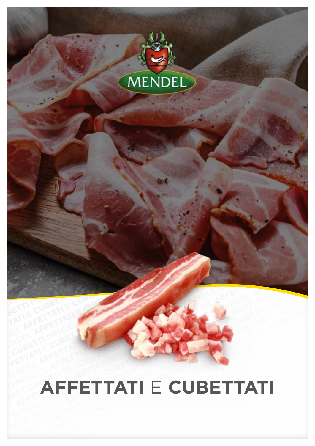

### **AFFETTATI** E **CUBETTATI**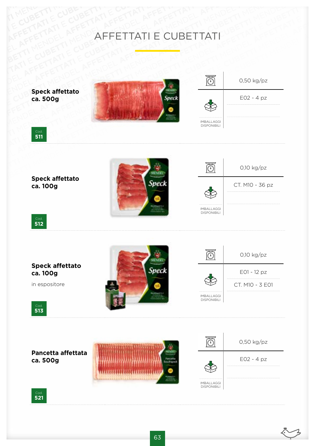## AFFETTATIE CUBETTI AFFETTATIE CUBETTATI AFFETTATIE CUBETTI AFFETTATIE CUBETTATI MENDEL TIME CUBETTATIE CUBETTATIE CUBETTATIE CUBETTI CUBETTATI E CUBETTATI E CUBETTATI UBETTI MENDEL AFFETTATI E CUBETTATI UBETTI MENDEL AFFETTATI CUBETTI ATI AFFETTATI E CUBETTATI

E AFFETTATI E CUBETTI MENDEL AFFETTATI E CUBETTATI PETTATI PETTATI BELANENDEL AFFETTATI PETTATI PETTATI PETTATI PETTATI PETTATI PETTATI PETTATI PETTATI PETTATI PETTATI PETTATI PETTATI PETTATI PETTATI PETTATI PETTATI PETTAT AFFETTATIE CUBETTATIE<br>
AFFETTATIE CUBETTATIE<br>
AFFETTATIE CUBETTI MENDEL AFFETTATIE<br>
EL ATTIMENDEL A MENDEL AFFETTATIE<br>
EL ATTIMENDEL A CUBETTATIE<br>
CUBETTI MENDEL A CUBETTATIE<br>
CUBETTI MENDEL A CUBETTATIE<br>
CUBETTI MENDEL A **CUBETTI CUBETTI ATI E CUBETTATI**<br>
AFFETTATI E CUBETTATI<br>
CUBETTATI BATTETTATI ANTES<br>
CUBETTATI BATTETTATI E CUBETTATI<br>
CUBETTATI BATTETTATI E CUBETTATI<br>
CUBETTATI BATTETTATI E CUBETTATI<br>
CUBETTATI BATTETTATI E CUBETTATI<br> MENDEL AFFETTATIE<br>
AFFETTATIE CUBETTATIE<br>
AFFETTATIE<br>
BETTI MENDEL AFFETTATIE CUBETTATI<br>
BETTI MENDEL AFFETTATIE<br>
BETTI MENDEL AFFETTATIE<br>
BETTI MENDEL AFFETTATIE<br>
BETTI MENDEL AFFETTATIE<br>
BETTI MENDEL AFFETTATIE<br>
BETTI ME E CUBETTI CUBETTATI E CUBETTATI<br>
AFFETTATI E CUBETTATI<br>
Speck affettato<br>
ca. 500g<br>
Speck affettato<br>
ca. 500g **AFFETTATIE**<br> **AFFETTATIE**<br> **AFFETTATIE**<br> **AFFETTATIE**<br> **AFFETTATIE**<br> **AFFETTATIE**<br> **AFFETTATIE**<br> **AFFETTATIE** CUBETTI CUBETTATI **ECUBETTATI 
<br>
CUBETTATI AFFETTATI E CUBETTATI**<br>
CUBETTATI AFFETTATI **AFFETTATI ECUBETTATI**<br>
CONTRACTION AFFETTATI E CUBETTATI <br>
Speck affettato<br>
COLORATION CUBETTATI ECUBETTATI <br>
Speck affettato<br>
COLORAT MENDEL AFFETTATIE CUBETTATI<br>
AFFETTATI AFFETTATIE CUBETTATI<br>
AFFETTATIE CUBETTATI<br>
CUBETTATIE<br>
COLORETTATIE<br>
COLORETTATIE<br>
COLORETTATIE<br>
COLORETTATIE<br>
COLORETTATIE<br>
COLORETTATIE<br>
COLORETTATIE<br>
COLORETTATIE<br>
COLORETTATIE<br>
C E PRODUCT AFFETTATIE CUBETTATI<br>
AFFETATI AFFETTATIE CUBETTATI<br>
SPEK affettato<br>
Ca. 500g<br>
Speck affettato<br>
Ca. 500g<br>
Speck affettato<br>
Speck affettato<br>
Speck affettato<br>
Speck affettato<br>
Speck affettato **AFFETTATIE**<br> **AFFETTATIE**<br> **AFFETTATIE**<br> **AFFETTATIE**<br> **AFFETTATIE**<br> **AFFETTATIE**<br> **AFFETTATIE**<br> **AFFETTATIE**<br> **AFFETTATIE**<br> **AFFETTATIE**<br> **AFFETTATIE CUBETTATI 
CUBETTATI 
CUBETTATI 
CUBETTATI 
<br>
Speck affettato**<br> **CREATIVE CUBETTATI 
CUBETTATI 
CUBETTATI 
CUBETTATI 
CUBETTATI 
CUBETTATI 
CUBETTATI 
COLLECTIVE CUBETTATI 
COLLECTIVE CUBETTATI 
COLLECTIVE CUBETTATI 
COLL** Speck affettato<br>
Cube The Cube AFFETTATI E CUBETTATI<br>
Cube Affettato<br>
Ca. 500g<br>
Speck affettato<br>
Ca. 500g<br>
Speck affettato<br>
Cube AFFETTATI E CUBETTATI<br>
Cube AFFETTATI E CUBETTATI<br>
Cube Affettato<br>
Ca. 500g<br>
Speck affettato<br> E **CUBETTATI E** CUBETTATI<br>
Speck affettato<br>
Ca. 500g<br>
Speck affettato<br>
Speck affettato<br>
Speck affettato<br>
Speck affettato<br>
Speck affettato<br>
Speck affettato 0,50 kg/pz **Speck affettato** E02 - 4 pz **ca. 500g** IMBALLAGGI DISPONIBILI Cod **511** 0,10 kg/pz **Speck affettato ca. 100g** CT. M10 - 36 pz  $\gg$ IMBALLAGGI DISPONIBILI Cod. **512**  $\overline{\circledcirc}$ 0,10 kg/pz **Speck affettato Speck** E01 - 12 pz **ca. 100g** in espositore CT. M10 - 3 E01 IMBALLAGGI DISPONIBILI Cod. **<sup>513</sup>**  $\overline{\overline{\mathbb{O}}}$ 0,50 kg/pz **Pancetta affettata** E02 - 4 pz **ca. 500g** IMBALLAGGI DISPONIBILI Cod.

**521**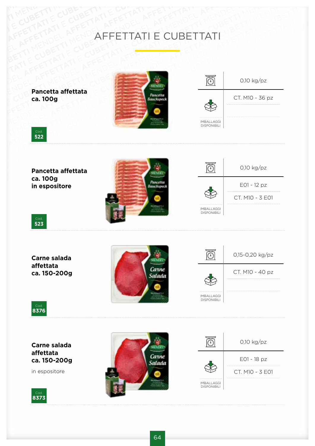# AFFETTATIE CUBETTI AFFETTATIE CUBETTATI AFFETTATIE CUBETTI AFFETTATIE CUBETTATI AFFETTATI E CUBETTATI

![](_page_2_Picture_1.jpeg)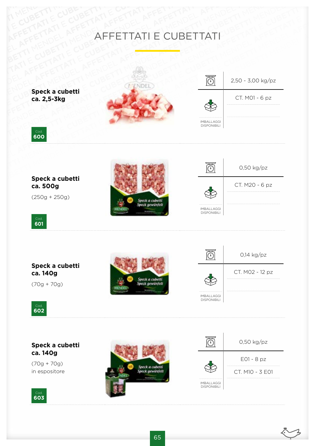### AFFETTATIE CUBETTI AFFETTATIE CUBETTATI AFFETTATIE CUBETTI AFFETTATIE CUBETTATI MENDEL TIME CUBETTATIE CUBETTATIE CUBETTATIE CUBETTI CUBETTATI E CUBETTATI E CUBETTATI VENDEL AFFETTATI E CUBETTATI VENDEL AFFETTATI E CUBETTATI VENDEL AFFETTATI CUBETTI ATI CUBETTI ATI CUBETTI ATI CUBETTI ATI CUBETTI ATI CUBETTI ATI CUBETTI ATI CUBETTI ATI CUBETTI A E AFFETTATI E CUBETTI ATTENDEL AFFETTATI E CUBETTATI PETTATI BETTATI BETTATI BETTATI BETTATI BETTATI PETTATI BETTATI BETTATI BETTATI BETTATI BETTATI BETTATI BETTATI BETTATI BETTATI BETTATI BETTATI BETTATI BETTATI BETTATI B **AFFETTATI E CUBETTATI**

**Speck a cubetti ca. 2,5-3kg**

![](_page_3_Picture_2.jpeg)

![](_page_3_Picture_3.jpeg)

![](_page_3_Picture_4.jpeg)

**Speck a cubetti ca. 500g**

(250g + 250g)

![](_page_3_Picture_7.jpeg)

| $0,50$ kg/pz   |
|----------------|
| CT. M20 - 6 pz |
|                |

IMBALLAGGI DISPONIBILI

![](_page_3_Picture_9.jpeg)

### **Speck a cubetti ca. 140g**

(70g + 70g)

![](_page_3_Picture_12.jpeg)

![](_page_3_Figure_13.jpeg)

![](_page_3_Picture_14.jpeg)

#### **Speck a cubetti ca. 140g**

(70g + 70g) in espositore

![](_page_3_Picture_17.jpeg)

![](_page_3_Picture_18.jpeg)

![](_page_3_Picture_19.jpeg)

DISPONIBILI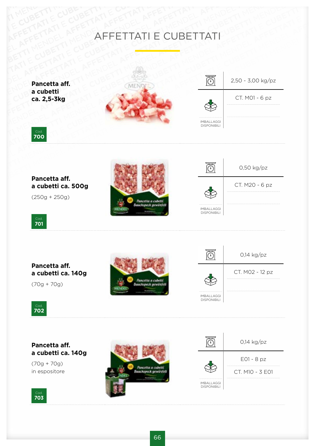### AFFETTATIE CUBETTI AFFETTATIE CUBETTATI AFFETTATIE CUBETTI AFFETTATIE CUBETTATI MENDEL TIME CUBETTATIE CUBETTATIE CUBETTATIE CUBETTI CUBETTATI E CUBETTATI E CUBETTATI URTI MENDEL AFFETTATI E CUBETTATI URTI MENDEL AFFETTATI CUBETTI ATI E AFFETTATI E CUBETTI AT E CUBETTATI E CUBETTATI PETTATI BELATIFICATI ANTENDEL AFFETTATI BELATIFICATI ANTENDEL **AFFETTATI E CUBETTATI**

**Pancetta aff. a cubetti ca. 2,5-3kg**

![](_page_4_Picture_2.jpeg)

![](_page_4_Picture_3.jpeg)

![](_page_4_Picture_4.jpeg)

**Pancetta aff. a cubetti ca. 500g**

(250g + 250g)

![](_page_4_Picture_7.jpeg)

![](_page_4_Picture_8.jpeg)

IMBALLAGGI DISPONIBILI

Cod. **701**

### **Pancetta aff. a cubetti ca. 140g**

(70g + 70g)

![](_page_4_Picture_12.jpeg)

![](_page_4_Picture_13.jpeg)

![](_page_4_Picture_14.jpeg)

#### **Pancetta aff. a cubetti ca. 140g**

(70g + 70g) in espositore

![](_page_4_Picture_17.jpeg)

![](_page_4_Picture_18.jpeg)

![](_page_4_Picture_19.jpeg)